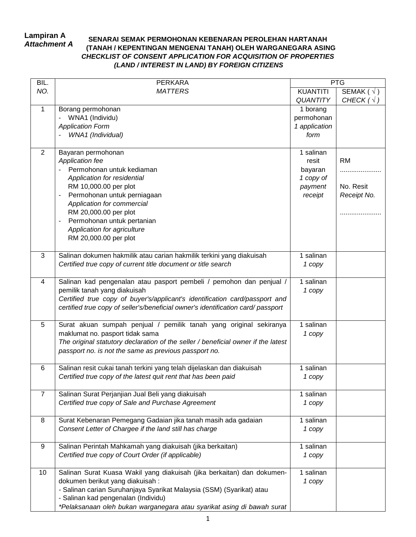## **Lampiran A** *Attachment A*

## **SENARAI SEMAK PERMOHONAN KEBENARAN PEROLEHAN HARTANAH (TANAH / KEPENTINGAN MENGENAI TANAH) OLEH WARGANEGARA ASING** *CHECKLIST OF CONSENT APPLICATION FOR ACQUISITION OF PROPERTIES (LAND / INTEREST IN LAND) BY FOREIGN CITIZENS*

| BIL.           | <b>PERKARA</b>                                                                                              | <b>PTG</b>      |                     |
|----------------|-------------------------------------------------------------------------------------------------------------|-----------------|---------------------|
| NO.            | <b>MATTERS</b>                                                                                              | <b>KUANTITI</b> | SEMAK ( $\sqrt{}$ ) |
|                |                                                                                                             | <b>QUANTITY</b> | CHECK $(\sqrt{})$   |
| 1              | Borang permohonan                                                                                           | 1 borang        |                     |
|                | WNA1 (Individu)                                                                                             | permohonan      |                     |
|                | <b>Application Form</b>                                                                                     | 1 application   |                     |
|                | WNA1 (Individual)                                                                                           | form            |                     |
|                |                                                                                                             |                 |                     |
| $\overline{2}$ | Bayaran permohonan                                                                                          | 1 salinan       |                     |
|                | Application fee                                                                                             | resit           | <b>RM</b>           |
|                | Permohonan untuk kediaman                                                                                   | bayaran         | .                   |
|                | Application for residential                                                                                 | 1 copy of       |                     |
|                | RM 10,000.00 per plot                                                                                       | payment         | No. Resit           |
|                | Permohonan untuk perniagaan<br>٠                                                                            | receipt         | Receipt No.         |
|                | Application for commercial                                                                                  |                 |                     |
|                | RM 20,000.00 per plot                                                                                       |                 |                     |
|                | Permohonan untuk pertanian<br>$\blacksquare$                                                                |                 |                     |
|                | Application for agriculture                                                                                 |                 |                     |
|                | RM 20,000.00 per plot                                                                                       |                 |                     |
|                |                                                                                                             |                 |                     |
| 3              | Salinan dokumen hakmilik atau carian hakmilik terkini yang diakuisah                                        | 1 salinan       |                     |
|                | Certified true copy of current title document or title search                                               | 1 copy          |                     |
|                |                                                                                                             |                 |                     |
| 4              | Salinan kad pengenalan atau pasport pembeli / pemohon dan penjual /                                         | 1 salinan       |                     |
|                | pemilik tanah yang diakuisah                                                                                | 1 copy          |                     |
|                | Certified true copy of buyer's/applicant's identification card/passport and                                 |                 |                     |
|                | certified true copy of seller's/beneficial owner's identification card/ passport                            |                 |                     |
|                |                                                                                                             |                 |                     |
| 5              | Surat akuan sumpah penjual / pemilik tanah yang original sekiranya                                          | 1 salinan       |                     |
|                | maklumat no. pasport tidak sama                                                                             | 1 copy          |                     |
|                | The original statutory declaration of the seller / beneficial owner if the latest                           |                 |                     |
|                | passport no. is not the same as previous passport no.                                                       |                 |                     |
|                |                                                                                                             |                 |                     |
| 6              | Salinan resit cukai tanah terkini yang telah dijelaskan dan diakuisah                                       | 1 salinan       |                     |
|                | Certified true copy of the latest quit rent that has been paid                                              | 1 copy          |                     |
|                |                                                                                                             |                 |                     |
| $\overline{7}$ | Salinan Surat Perjanjian Jual Beli yang diakuisah                                                           | 1 salinan       |                     |
|                | Certified true copy of Sale and Purchase Agreement                                                          | 1 copy          |                     |
|                |                                                                                                             |                 |                     |
| 8              | Surat Kebenaran Pemegang Gadaian jika tanah masih ada gadaian                                               | 1 salinan       |                     |
|                | Consent Letter of Chargee if the land still has charge                                                      | 1 copy          |                     |
|                |                                                                                                             |                 |                     |
| 9              | Salinan Perintah Mahkamah yang diakuisah (jika berkaitan)                                                   | 1 salinan       |                     |
|                | Certified true copy of Court Order (if applicable)                                                          | 1 copy          |                     |
|                |                                                                                                             |                 |                     |
| 10             | Salinan Surat Kuasa Wakil yang diakuisah (jika berkaitan) dan dokumen-                                      | 1 salinan       |                     |
|                | dokumen berikut yang diakuisah:                                                                             | 1 copy          |                     |
|                | - Salinan carian Suruhanjaya Syarikat Malaysia (SSM) (Syarikat) atau<br>- Salinan kad pengenalan (Individu) |                 |                     |
|                | *Pelaksanaan oleh bukan warganegara atau syarikat asing di bawah surat                                      |                 |                     |
|                |                                                                                                             |                 |                     |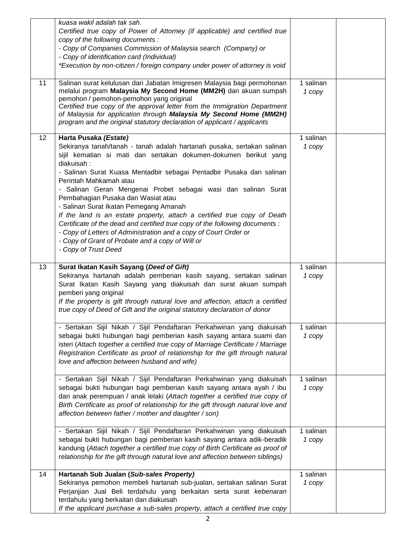| 11 | kuasa wakil adalah tak sah.<br>Certified true copy of Power of Attorney (if applicable) and certified true<br>copy of the following documents :<br>- Copy of Companies Commission of Malaysia search (Company) or<br>- Copy of identification card (Individual)<br>*Execution by non-citizen / foreign company under power of attorney is void<br>Salinan surat kelulusan dari Jabatan Imigresen Malaysia bagi permohonan<br>melalui program Malaysia My Second Home (MM2H) dan akuan sumpah<br>pemohon / pemohon-pemohon yang original<br>Certified true copy of the approval letter from the Immigration Department<br>of Malaysia for application through Malaysia My Second Home (MM2H)<br>program and the original statutory declaration of applicant / applicants | 1 salinan<br>1 copy   |  |
|----|-------------------------------------------------------------------------------------------------------------------------------------------------------------------------------------------------------------------------------------------------------------------------------------------------------------------------------------------------------------------------------------------------------------------------------------------------------------------------------------------------------------------------------------------------------------------------------------------------------------------------------------------------------------------------------------------------------------------------------------------------------------------------|-----------------------|--|
| 12 | Harta Pusaka (Estate)<br>Sekiranya tanah/tanah - tanah adalah hartanah pusaka, sertakan salinan<br>sijil kematian si mati dan sertakan dokumen-dokumen berikut yang<br>diakuisah:<br>- Salinan Surat Kuasa Mentadbir sebagai Pentadbir Pusaka dan salinan<br>Perintah Mahkamah atau<br>- Salinan Geran Mengenai Probet sebagai wasi dan salinan Surat<br>Pembahagian Pusaka dan Wasiat atau<br>- Salinan Surat Ikatan Pemegang Amanah<br>If the land is an estate property, attach a certified true copy of Death<br>Certificate of the dead and certified true copy of the following documents :<br>- Copy of Letters of Administration and a copy of Court Order or<br>- Copy of Grant of Probate and a copy of Will or<br>- Copy of Trust Deed                       | 1 salinan<br>1 copy   |  |
| 13 | Surat Ikatan Kasih Sayang (Deed of Gift)<br>Sekiranya hartanah adalah pemberian kasih sayang, sertakan salinan<br>Surat Ikatan Kasih Sayang yang diakuisah dan surat akuan sumpah<br>pemberi yang original<br>If the property is gift through natural love and affection, attach a certified<br>true copy of Deed of Gift and the original statutory declaration of donor                                                                                                                                                                                                                                                                                                                                                                                               | 1 salinan<br>1 copy   |  |
|    | - Sertakan Sijil Nikah / Sijil Pendaftaran Perkahwinan yang diakuisah<br>sebagai bukti hubungan bagi pemberian kasih sayang antara suami dan<br>isteri (Attach together a certified true copy of Marriage Certificate / Marriage<br>Registration Certificate as proof of relationship for the gift through natural<br>love and affection between husband and wife)                                                                                                                                                                                                                                                                                                                                                                                                      | 1 salinan<br>1 copy   |  |
|    | - Sertakan Sijil Nikah / Sijil Pendaftaran Perkahwinan yang diakuisah<br>sebagai bukti hubungan bagi pemberian kasih sayang antara ayah / ibu<br>dan anak perempuan / anak lelaki (Attach together a certified true copy of<br>Birth Certificate as proof of relationship for the gift through natural love and<br>affection between father / mother and daughter / son)                                                                                                                                                                                                                                                                                                                                                                                                | 1 salinan<br>1 copy   |  |
|    | - Sertakan Sijil Nikah / Sijil Pendaftaran Perkahwinan yang diakuisah<br>sebagai bukti hubungan bagi pemberian kasih sayang antara adik-beradik<br>kandung (Attach together a certified true copy of Birth Certificate as proof of<br>relationship for the gift through natural love and affection between siblings)                                                                                                                                                                                                                                                                                                                                                                                                                                                    | 1 salinan<br>1 copy   |  |
| 14 | Hartanah Sub Jualan (Sub-sales Property)<br>Sekiranya pemohon membeli hartanah sub-jualan, sertakan salinan Surat<br>Perjanjian Jual Beli terdahulu yang berkaitan serta surat kebenaran<br>terdahulu yang berkaitan dan diakuisah<br>If the applicant purchase a sub-sales property, attach a certified true copy                                                                                                                                                                                                                                                                                                                                                                                                                                                      | $1$ salinan<br>1 copy |  |